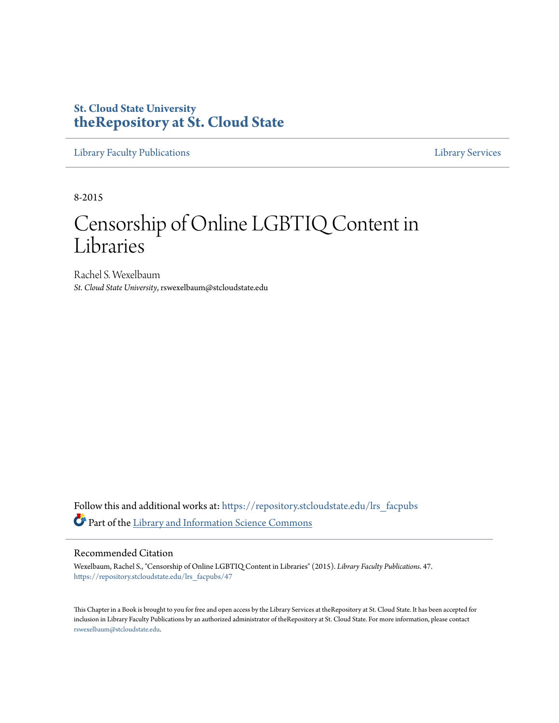# **St. Cloud State University [theRepository at St. Cloud State](https://repository.stcloudstate.edu?utm_source=repository.stcloudstate.edu%2Flrs_facpubs%2F47&utm_medium=PDF&utm_campaign=PDFCoverPages)**

[Library Faculty Publications](https://repository.stcloudstate.edu/lrs_facpubs?utm_source=repository.stcloudstate.edu%2Flrs_facpubs%2F47&utm_medium=PDF&utm_campaign=PDFCoverPages) [Library Services](https://repository.stcloudstate.edu/ls?utm_source=repository.stcloudstate.edu%2Flrs_facpubs%2F47&utm_medium=PDF&utm_campaign=PDFCoverPages)

8-2015

# Censorship of Online LGBTIQ Content in Libraries

Rachel S. Wexelbaum *St. Cloud State University*, rswexelbaum@stcloudstate.edu

Follow this and additional works at: [https://repository.stcloudstate.edu/lrs\\_facpubs](https://repository.stcloudstate.edu/lrs_facpubs?utm_source=repository.stcloudstate.edu%2Flrs_facpubs%2F47&utm_medium=PDF&utm_campaign=PDFCoverPages) Part of the [Library and Information Science Commons](http://network.bepress.com/hgg/discipline/1018?utm_source=repository.stcloudstate.edu%2Flrs_facpubs%2F47&utm_medium=PDF&utm_campaign=PDFCoverPages)

#### Recommended Citation

Wexelbaum, Rachel S., "Censorship of Online LGBTIQ Content in Libraries" (2015). *Library Faculty Publications*. 47. [https://repository.stcloudstate.edu/lrs\\_facpubs/47](https://repository.stcloudstate.edu/lrs_facpubs/47?utm_source=repository.stcloudstate.edu%2Flrs_facpubs%2F47&utm_medium=PDF&utm_campaign=PDFCoverPages)

This Chapter in a Book is brought to you for free and open access by the Library Services at theRepository at St. Cloud State. It has been accepted for inclusion in Library Faculty Publications by an authorized administrator of theRepository at St. Cloud State. For more information, please contact [rswexelbaum@stcloudstate.edu](mailto:rswexelbaum@stcloudstate.edu).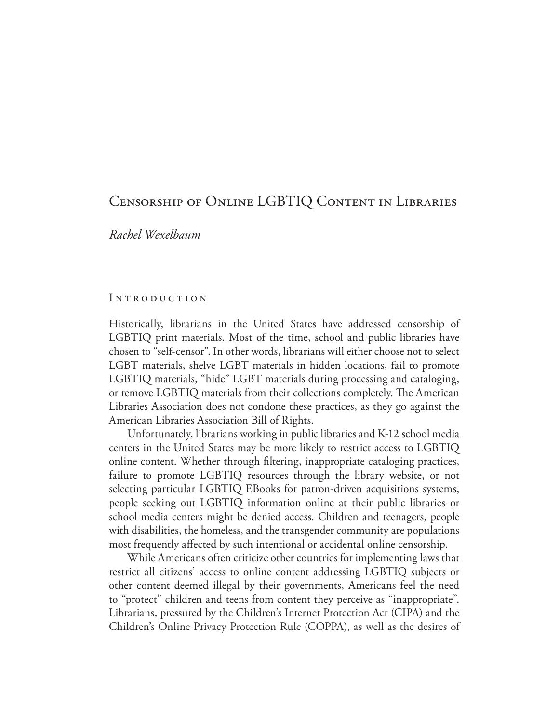## Censorship of Online LGBTIQ Content in Libraries

*Rachel Wexelbaum*

#### INTRODUCTION

Historically, librarians in the United States have addressed censorship of LGBTIQ print materials. Most of the time, school and public libraries have chosen to "self-censor". In other words, librarians will either choose not to select LGBT materials, shelve LGBT materials in hidden locations, fail to promote LGBTIQ materials, "hide" LGBT materials during processing and cataloging, or remove LGBTIQ materials from their collections completely. The American Libraries Association does not condone these practices, as they go against the American Libraries Association Bill of Rights.

Unfortunately, librarians working in public libraries and K-12 school media centers in the United States may be more likely to restrict access to LGBTIQ online content. Whether through fltering, inappropriate cataloging practices, failure to promote LGBTIQ resources through the library website, or not selecting particular LGBTIQ EBooks for patron-driven acquisitions systems, people seeking out LGBTIQ information online at their public libraries or school media centers might be denied access. Children and teenagers, people with disabilities, the homeless, and the transgender community are populations most frequently afected by such intentional or accidental online censorship.

While Americans often criticize other countries for implementing laws that restrict all citizens' access to online content addressing LGBTIQ subjects or other content deemed illegal by their governments, Americans feel the need to "protect" children and teens from content they perceive as "inappropriate". Librarians, pressured by the Children's Internet Protection Act (CIPA) and the Children's Online Privacy Protection Rule (COPPA), as well as the desires of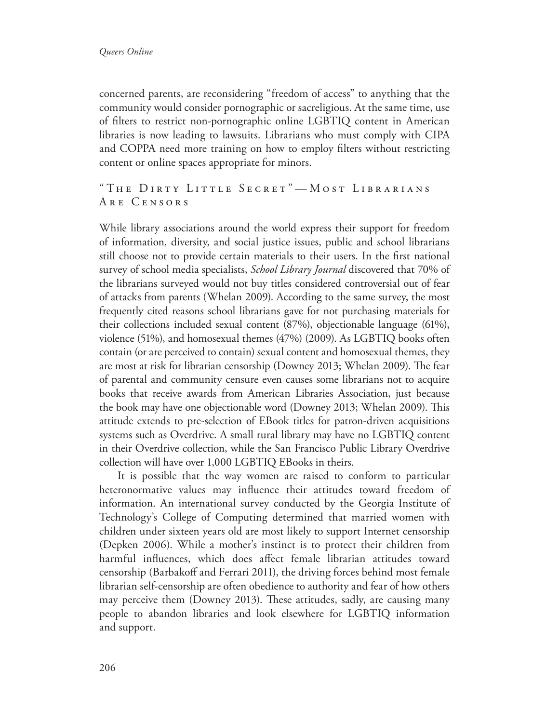concerned parents, are reconsidering "freedom of access" to anything that the community would consider pornographic or sacreligious. At the same time, use of flters to restrict non-pornographic online LGBTIQ content in American libraries is now leading to lawsuits. Librarians who must comply with CIPA and COPPA need more training on how to employ flters without restricting content or online spaces appropriate for minors.

## "THE DIRTY LITTLE SECRET"-MOST LIBRARIANS ARE CENSORS

While library associations around the world express their support for freedom of information, diversity, and social justice issues, public and school librarians still choose not to provide certain materials to their users. In the frst national survey of school media specialists, *School Library Journal* discovered that 70% of the librarians surveyed would not buy titles considered controversial out of fear of attacks from parents (Whelan 2009). According to the same survey, the most frequently cited reasons school librarians gave for not purchasing materials for their collections included sexual content (87%), objectionable language (61%), violence (51%), and homosexual themes (47%) (2009). As LGBTIQ books often contain (or are perceived to contain) sexual content and homosexual themes, they are most at risk for librarian censorship (Downey 2013; Whelan 2009). The fear of parental and community censure even causes some librarians not to acquire books that receive awards from American Libraries Association, just because the book may have one objectionable word (Downey 2013; Whelan 2009). Tis attitude extends to pre-selection of EBook titles for patron-driven acquisitions systems such as Overdrive. A small rural library may have no LGBTIQ content in their Overdrive collection, while the San Francisco Public Library Overdrive collection will have over 1,000 LGBTIQ EBooks in theirs.

It is possible that the way women are raised to conform to particular heteronormative values may infuence their attitudes toward freedom of information. An international survey conducted by the Georgia Institute of Technology's College of Computing determined that married women with children under sixteen years old are most likely to support Internet censorship (Depken 2006). While a mother's instinct is to protect their children from harmful infuences, which does afect female librarian attitudes toward censorship (Barbakoff and Ferrari 2011), the driving forces behind most female librarian self-censorship are often obedience to authority and fear of how others may perceive them (Downey 2013). These attitudes, sadly, are causing many people to abandon libraries and look elsewhere for LGBTIQ information and support.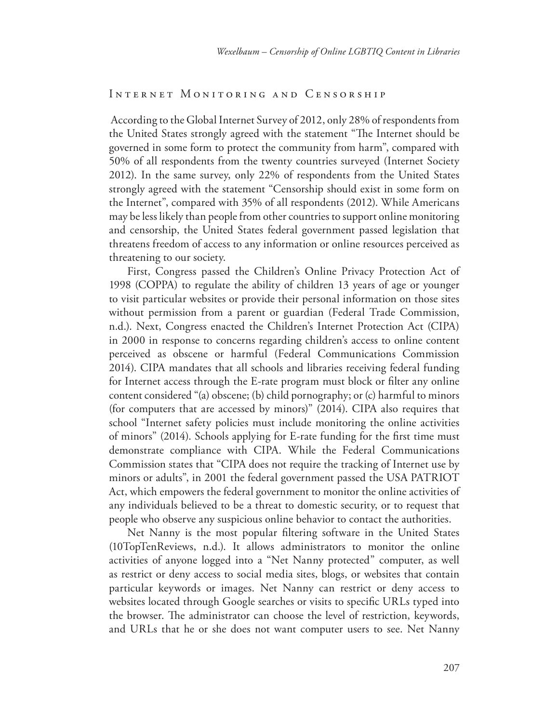#### INTERNET MONITORING AND CENSORSHIP

 According to the Global Internet Survey of 2012, only 28% of respondents from the United States strongly agreed with the statement "The Internet should be governed in some form to protect the community from harm", compared with 50% of all respondents from the twenty countries surveyed (Internet Society 2012). In the same survey, only 22% of respondents from the United States strongly agreed with the statement "Censorship should exist in some form on the Internet", compared with 35% of all respondents (2012). While Americans may be less likely than people from other countries to support online monitoring and censorship, the United States federal government passed legislation that threatens freedom of access to any information or online resources perceived as threatening to our society.

First, Congress passed the Children's Online Privacy Protection Act of 1998 (COPPA) to regulate the ability of children 13 years of age or younger to visit particular websites or provide their personal information on those sites without permission from a parent or guardian (Federal Trade Commission, n.d.). Next, Congress enacted the Children's Internet Protection Act (CIPA) in 2000 in response to concerns regarding children's access to online content perceived as obscene or harmful (Federal Communications Commission 2014). CIPA mandates that all schools and libraries receiving federal funding for Internet access through the E-rate program must block or flter any online content considered "(a) obscene; (b) child pornography; or (c) harmful to minors (for computers that are accessed by minors)" (2014). CIPA also requires that school "Internet safety policies must include monitoring the online activities of minors" (2014). Schools applying for E-rate funding for the frst time must demonstrate compliance with CIPA. While the Federal Communications Commission states that "CIPA does not require the tracking of Internet use by minors or adults", in 2001 the federal government passed the USA PATRIOT Act, which empowers the federal government to monitor the online activities of any individuals believed to be a threat to domestic security, or to request that people who observe any suspicious online behavior to contact the authorities.

Net Nanny is the most popular fltering software in the United States (10TopTenReviews, n.d.). It allows administrators to monitor the online activities of anyone logged into a "Net Nanny protected" computer, as well as restrict or deny access to social media sites, blogs, or websites that contain particular keywords or images. Net Nanny can restrict or deny access to websites located through Google searches or visits to specifc URLs typed into the browser. The administrator can choose the level of restriction, keywords, and URLs that he or she does not want computer users to see. Net Nanny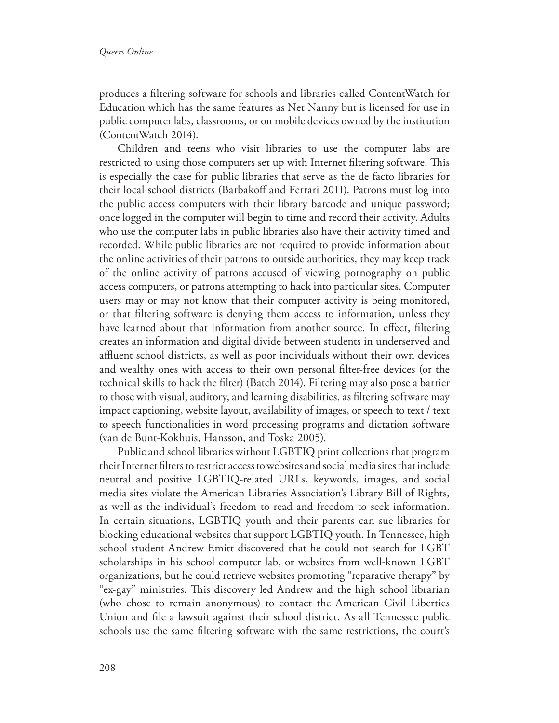produces a fltering software for schools and libraries called ContentWatch for Education which has the same features as Net Nanny but is licensed for use in public computer labs, classrooms, or on mobile devices owned by the institution (ContentWatch 2014).

Children and teens who visit libraries to use the computer labs are restricted to using those computers set up with Internet filtering software. This is especially the case for public libraries that serve as the de facto libraries for their local school districts (Barbakoff and Ferrari 2011). Patrons must log into the public access computers with their library barcode and unique password; once logged in the computer will begin to time and record their activity. Adults who use the computer labs in public libraries also have their activity timed and recorded. While public libraries are not required to provide information about the online activities of their patrons to outside authorities, they may keep track of the online activity of patrons accused of viewing pornography on public access computers, or patrons attempting to hack into particular sites. Computer users may or may not know that their computer activity is being monitored, or that fltering software is denying them access to information, unless they have learned about that information from another source. In effect, filtering creates an information and digital divide between students in underserved and afuent school districts, as well as poor individuals without their own devices and wealthy ones with access to their own personal flter-free devices (or the technical skills to hack the flter) (Batch 2014). Filtering may also pose a barrier to those with visual, auditory, and learning disabilities, as fltering software may impact captioning, website layout, availability of images, or speech to text / text to speech functionalities in word processing programs and dictation software (van de Bunt-Kokhuis, Hansson, and Toska 2005).

Public and school libraries without LGBTIQ print collections that program their Internet flters to restrict access to websites and social media sites that include neutral and positive LGBTIQ-related URLs, keywords, images, and social media sites violate the American Libraries Association's Library Bill of Rights, as well as the individual's freedom to read and freedom to seek information. In certain situations, LGBTIQ youth and their parents can sue libraries for blocking educational websites that support LGBTIQ youth. In Tennessee, high school student Andrew Emitt discovered that he could not search for LGBT scholarships in his school computer lab, or websites from well-known LGBT organizations, but he could retrieve websites promoting "reparative therapy" by "ex-gay" ministries. Tis discovery led Andrew and the high school librarian (who chose to remain anonymous) to contact the American Civil Liberties Union and fle a lawsuit against their school district. As all Tennessee public schools use the same fltering software with the same restrictions, the court's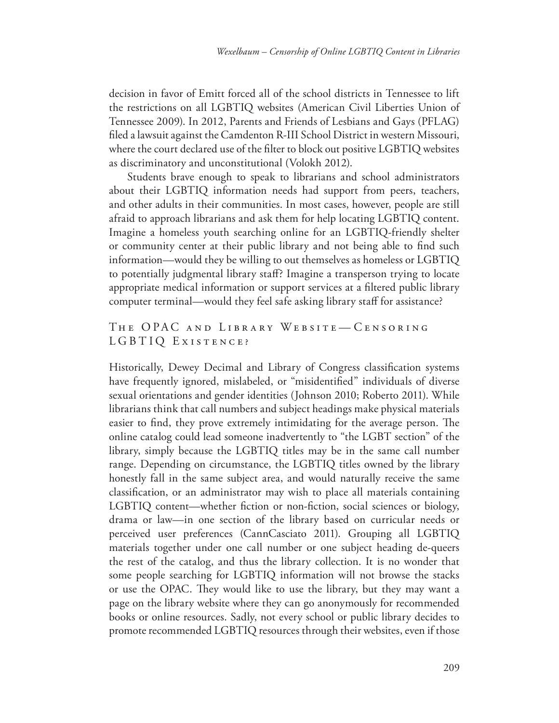decision in favor of Emitt forced all of the school districts in Tennessee to lift the restrictions on all LGBTIQ websites (American Civil Liberties Union of Tennessee 2009). In 2012, Parents and Friends of Lesbians and Gays (PFLAG) fled a lawsuit against the Camdenton R-III School District in western Missouri, where the court declared use of the flter to block out positive LGBTIQ websites as discriminatory and unconstitutional (Volokh 2012).

Students brave enough to speak to librarians and school administrators about their LGBTIQ information needs had support from peers, teachers, and other adults in their communities. In most cases, however, people are still afraid to approach librarians and ask them for help locating LGBTIQ content. Imagine a homeless youth searching online for an LGBTIQ-friendly shelter or community center at their public library and not being able to fnd such information—would they be willing to out themselves as homeless or LGBTIQ to potentially judgmental library staf? Imagine a transperson trying to locate appropriate medical information or support services at a fltered public library computer terminal—would they feel safe asking library staff for assistance?

### THE OPAC AND LIBRARY WEBSITE-CENSORING LGBTIQ EXISTENCE?

Historically, Dewey Decimal and Library of Congress classifcation systems have frequently ignored, mislabeled, or "misidentifed" individuals of diverse sexual orientations and gender identities (Johnson 2010; Roberto 2011). While librarians think that call numbers and subject headings make physical materials easier to find, they prove extremely intimidating for the average person. The online catalog could lead someone inadvertently to "the LGBT section" of the library, simply because the LGBTIQ titles may be in the same call number range. Depending on circumstance, the LGBTIQ titles owned by the library honestly fall in the same subject area, and would naturally receive the same classifcation, or an administrator may wish to place all materials containing LGBTIQ content—whether fiction or non-fiction, social sciences or biology, drama or law—in one section of the library based on curricular needs or perceived user preferences (CannCasciato 2011). Grouping all LGBTIQ materials together under one call number or one subject heading de-queers the rest of the catalog, and thus the library collection. It is no wonder that some people searching for LGBTIQ information will not browse the stacks or use the OPAC. They would like to use the library, but they may want a page on the library website where they can go anonymously for recommended books or online resources. Sadly, not every school or public library decides to promote recommended LGBTIQ resources through their websites, even if those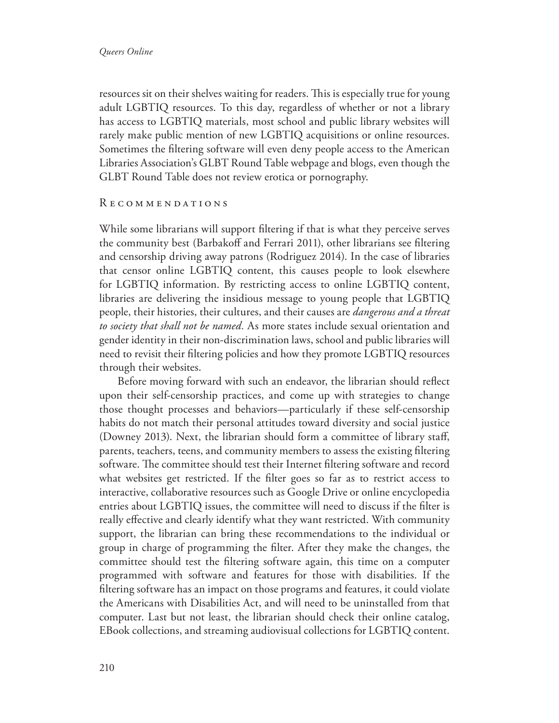resources sit on their shelves waiting for readers. This is especially true for young adult LGBTIQ resources. To this day, regardless of whether or not a library has access to LGBTIQ materials, most school and public library websites will rarely make public mention of new LGBTIQ acquisitions or online resources. Sometimes the fltering software will even deny people access to the American Libraries Association's GLBT Round Table webpage and blogs, even though the GLBT Round Table does not review erotica or pornography.

#### R ecommendations

While some librarians will support fltering if that is what they perceive serves the community best (Barbakoff and Ferrari 2011), other librarians see filtering and censorship driving away patrons (Rodriguez 2014). In the case of libraries that censor online LGBTIQ content, this causes people to look elsewhere for LGBTIQ information. By restricting access to online LGBTIQ content, libraries are delivering the insidious message to young people that LGBTIQ people, their histories, their cultures, and their causes are *dangerous and a threat to society that shall not be named.* As more states include sexual orientation and gender identity in their non-discrimination laws, school and public libraries will need to revisit their fltering policies and how they promote LGBTIQ resources through their websites.

Before moving forward with such an endeavor, the librarian should refect upon their self-censorship practices, and come up with strategies to change those thought processes and behaviors—particularly if these self-censorship habits do not match their personal attitudes toward diversity and social justice (Downey 2013). Next, the librarian should form a committee of library staf, parents, teachers, teens, and community members to assess the existing fltering software. The committee should test their Internet filtering software and record what websites get restricted. If the flter goes so far as to restrict access to interactive, collaborative resources such as Google Drive or online encyclopedia entries about LGBTIQ issues, the committee will need to discuss if the flter is really efective and clearly identify what they want restricted. With community support, the librarian can bring these recommendations to the individual or group in charge of programming the flter. After they make the changes, the committee should test the fltering software again, this time on a computer programmed with software and features for those with disabilities. If the fltering software has an impact on those programs and features, it could violate the Americans with Disabilities Act, and will need to be uninstalled from that computer. Last but not least, the librarian should check their online catalog, EBook collections, and streaming audiovisual collections for LGBTIQ content.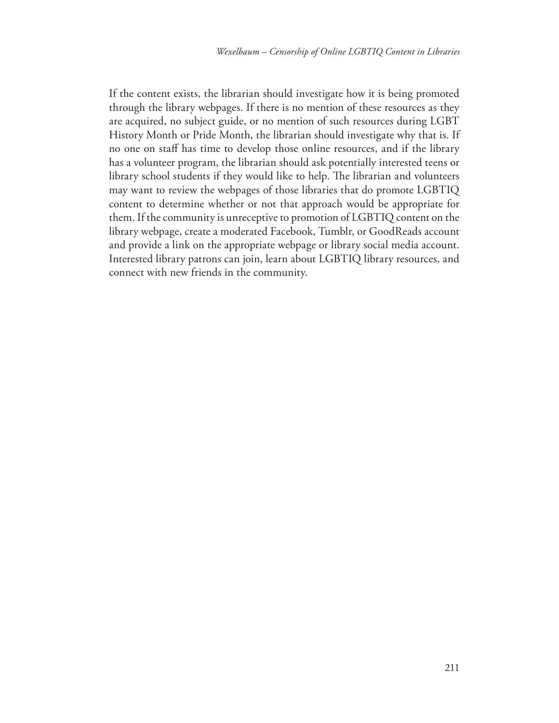If the content exists, the librarian should investigate how it is being promoted through the library webpages. If there is no mention of these resources as they are acquired, no subject guide, or no mention of such resources during LGBT History Month or Pride Month, the librarian should investigate why that is. If no one on staf has time to develop those online resources, and if the library has a volunteer program, the librarian should ask potentially interested teens or library school students if they would like to help. The librarian and volunteers may want to review the webpages of those libraries that do promote LGBTIQ content to determine whether or not that approach would be appropriate for them. If the community is unreceptive to promotion of LGBTIQ content on the library webpage, create a moderated Facebook, Tumblr, or GoodReads account and provide a link on the appropriate webpage or library social media account. Interested library patrons can join, learn about LGBTIQ library resources, and connect with new friends in the community.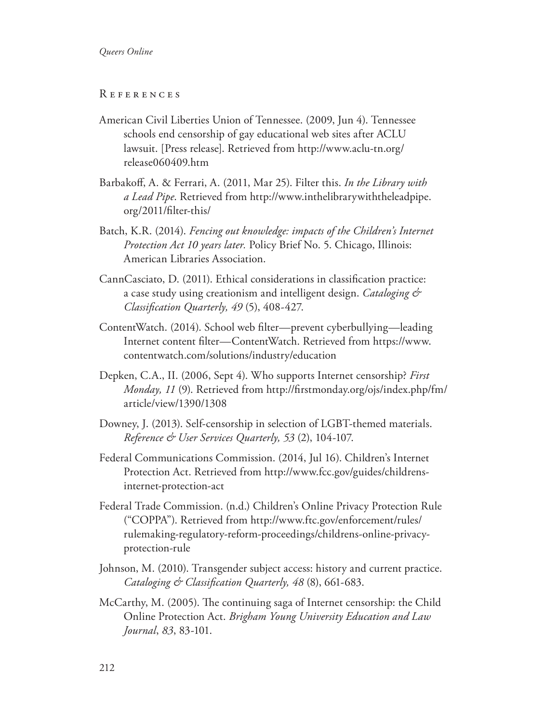R eferences

- American Civil Liberties Union of Tennessee. (2009, Jun 4). Tennessee schools end censorship of gay educational web sites after ACLU lawsuit. [Press release]. Retrieved from http://www.aclu-tn.org/ release060409.htm
- Barbakof, A. & Ferrari, A. (2011, Mar 25). Filter this. *In the Library with a Lead Pipe*. Retrieved from http://www.inthelibrarywiththeleadpipe. org/2011/flter-this/
- Batch, K.R. (2014). *Fencing out knowledge: impacts of the Children's Internet Protection Act 10 years later.* Policy Brief No. 5. Chicago, Illinois: American Libraries Association.
- CannCasciato, D. (2011). Ethical considerations in classifcation practice: a case study using creationism and intelligent design. *Cataloging & Classifcation Quarterly, 49* (5), 408-427.
- ContentWatch. (2014). School web flter—prevent cyberbullying—leading Internet content flter—ContentWatch. Retrieved from https://www. contentwatch.com/solutions/industry/education
- Depken, C.A., II. (2006, Sept 4). Who supports Internet censorship? *First Monday, 11* (9). Retrieved from http://frstmonday.org/ojs/index.php/fm/ article/view/1390/1308
- Downey, J. (2013). Self-censorship in selection of LGBT-themed materials. *Reference & User Services Quarterly, 53* (2), 104-107.
- Federal Communications Commission. (2014, Jul 16). Children's Internet Protection Act. Retrieved from http://www.fcc.gov/guides/childrensinternet-protection-act
- Federal Trade Commission. (n.d.) Children's Online Privacy Protection Rule ("COPPA"). Retrieved from http://www.ftc.gov/enforcement/rules/ rulemaking-regulatory-reform-proceedings/childrens-online-privacyprotection-rule
- Johnson, M. (2010). Transgender subject access: history and current practice. *Cataloging & Classifcation Quarterly, 48* (8), 661-683.
- McCarthy, M. (2005). The continuing saga of Internet censorship: the Child Online Protection Act. *Brigham Young University Education and Law Journal*, *83*, 83-101.